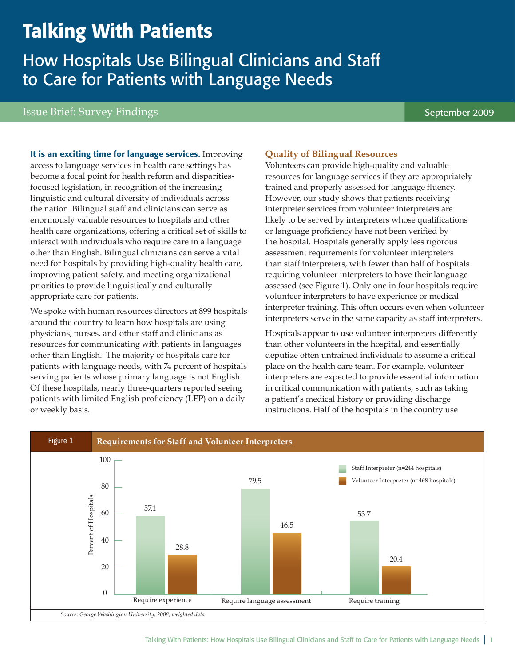# Talking With Patients

How Hospitals Use Bilingual Clinicians and Staff to Care for Patients with Language Needs

## Issue Brief: Survey Findings September 2009

It is an exciting time for language services. Improving access to language services in health care settings has become a focal point for health reform and disparitiesfocused legislation, in recognition of the increasing linguistic and cultural diversity of individuals across the nation. Bilingual staff and clinicians can serve as enormously valuable resources to hospitals and other health care organizations, offering a critical set of skills to interact with individuals who require care in a language other than English. Bilingual clinicians can serve a vital need for hospitals by providing high-quality health care, improving patient safety, and meeting organizational priorities to provide linguistically and culturally appropriate care for patients.

We spoke with human resources directors at 899 hospitals around the country to learn how hospitals are using physicians, nurses, and other staff and clinicians as resources for communicating with patients in languages other than English.1 The majority of hospitals care for patients with language needs, with 74 percent of hospitals serving patients whose primary language is not English. Of these hospitals, nearly three-quarters reported seeing patients with limited English proficiency (LEP) on a daily or weekly basis.

### **Quality of Bilingual Resources**

Volunteers can provide high-quality and valuable resources for language services if they are appropriately trained and properly assessed for language fluency. However, our study shows that patients receiving interpreter services from volunteer interpreters are likely to be served by interpreters whose qualifications or language proficiency have not been verified by the hospital. Hospitals generally apply less rigorous assessment requirements for volunteer interpreters than staff interpreters, with fewer than half of hospitals requiring volunteer interpreters to have their language assessed (see Figure 1). Only one in four hospitals require volunteer interpreters to have experience or medical interpreter training. This often occurs even when volunteer interpreters serve in the same capacity as staff interpreters.

Hospitals appear to use volunteer interpreters differently than other volunteers in the hospital, and essentially deputize often untrained individuals to assume a critical place on the health care team. For example, volunteer interpreters are expected to provide essential information in critical communication with patients, such as taking a patient's medical history or providing discharge instructions. Half of the hospitals in the country use

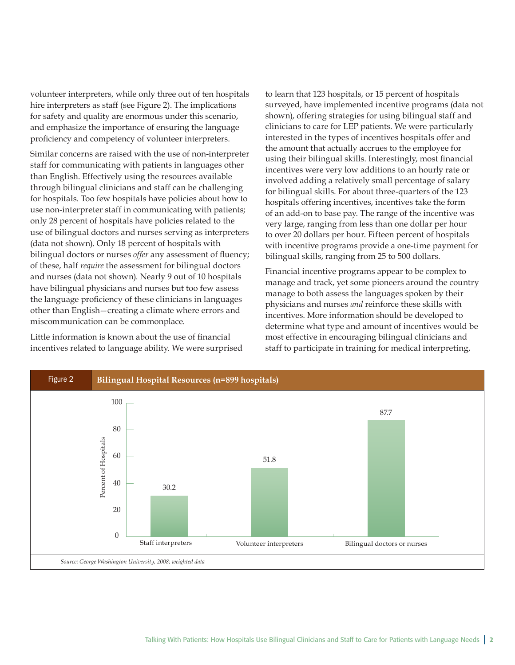volunteer interpreters, while only three out of ten hospitals hire interpreters as staff (see Figure 2). The implications for safety and quality are enormous under this scenario, and emphasize the importance of ensuring the language proficiency and competency of volunteer interpreters.

Similar concerns are raised with the use of non-interpreter staff for communicating with patients in languages other than English. Effectively using the resources available through bilingual clinicians and staff can be challenging for hospitals. Too few hospitals have policies about how to use non-interpreter staff in communicating with patients; only 28 percent of hospitals have policies related to the use of bilingual doctors and nurses serving as interpreters (data not shown). Only 18 percent of hospitals with bilingual doctors or nurses *offer* any assessment of fluency; of these, half *require* the assessment for bilingual doctors and nurses (data not shown). Nearly 9 out of 10 hospitals have bilingual physicians and nurses but too few assess the language proficiency of these clinicians in languages other than English—creating a climate where errors and miscommunication can be commonplace.

Little information is known about the use of financial incentives related to language ability. We were surprised

to learn that 123 hospitals, or 15 percent of hospitals surveyed, have implemented incentive programs (data not shown), offering strategies for using bilingual staff and clinicians to care for LEP patients. We were particularly interested in the types of incentives hospitals offer and the amount that actually accrues to the employee for using their bilingual skills. Interestingly, most financial incentives were very low additions to an hourly rate or involved adding a relatively small percentage of salary for bilingual skills. For about three-quarters of the 123 hospitals offering incentives, incentives take the form of an add-on to base pay. The range of the incentive was very large, ranging from less than one dollar per hour to over 20 dollars per hour. Fifteen percent of hospitals with incentive programs provide a one-time payment for bilingual skills, ranging from 25 to 500 dollars.

Financial incentive programs appear to be complex to manage and track, yet some pioneers around the country manage to both assess the languages spoken by their physicians and nurses *and* reinforce these skills with incentives. More information should be developed to determine what type and amount of incentives would be most effective in encouraging bilingual clinicians and staff to participate in training for medical interpreting,

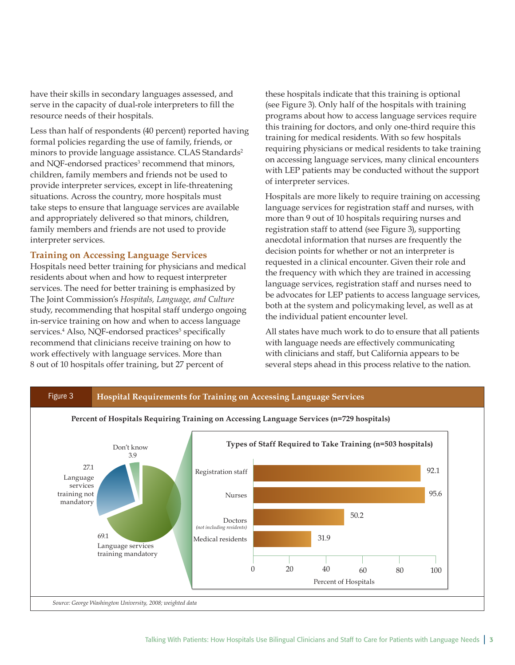have their skills in secondary languages assessed, and serve in the capacity of dual-role interpreters to fill the resource needs of their hospitals.

Less than half of respondents (40 percent) reported having formal policies regarding the use of family, friends, or minors to provide language assistance. CLAS Standards<sup>2</sup> and NQF-endorsed practices<sup>3</sup> recommend that minors, children, family members and friends not be used to provide interpreter services, except in life-threatening situations. Across the country, more hospitals must take steps to ensure that language services are available and appropriately delivered so that minors, children, family members and friends are not used to provide interpreter services.

#### **Training on Accessing Language Services**

Hospitals need better training for physicians and medical residents about when and how to request interpreter services. The need for better training is emphasized by The Joint Commission's *Hospitals, Language, and Culture* study, recommending that hospital staff undergo ongoing in-service training on how and when to access language services.<sup>4</sup> Also, NQF-endorsed practices<sup>5</sup> specifically recommend that clinicians receive training on how to work effectively with language services. More than 8 out of 10 hospitals offer training, but 27 percent of

these hospitals indicate that this training is optional (see Figure 3). Only half of the hospitals with training programs about how to access language services require this training for doctors, and only one-third require this training for medical residents. With so few hospitals requiring physicians or medical residents to take training on accessing language services, many clinical encounters with LEP patients may be conducted without the support of interpreter services.

Hospitals are more likely to require training on accessing language services for registration staff and nurses, with more than 9 out of 10 hospitals requiring nurses and registration staff to attend (see Figure 3), supporting anecdotal information that nurses are frequently the decision points for whether or not an interpreter is requested in a clinical encounter. Given their role and the frequency with which they are trained in accessing language services, registration staff and nurses need to be advocates for LEP patients to access language services, both at the system and policymaking level, as well as at the individual patient encounter level.

All states have much work to do to ensure that all patients with language needs are effectively communicating with clinicians and staff, but California appears to be several steps ahead in this process relative to the nation.